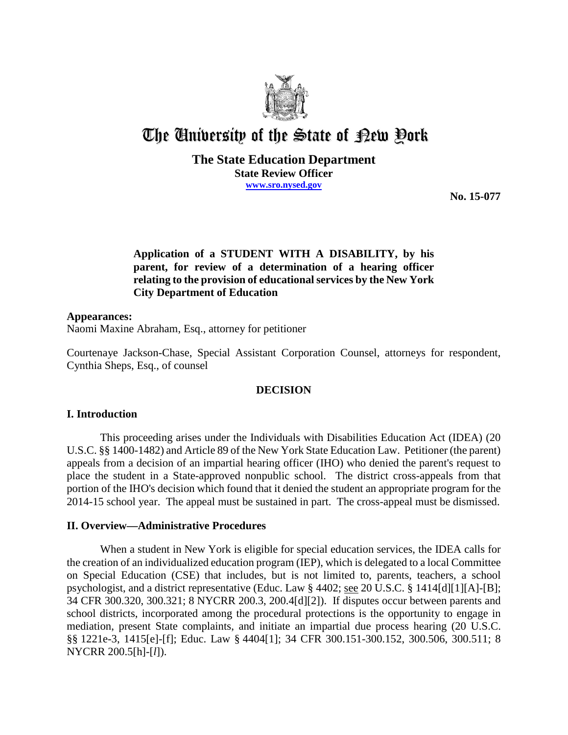

# The University of the State of Pew Pork

## **The State Education Department State Review Officer www.sro.nysed.gov**

**No. 15-077** 

# **Application of a STUDENT WITH A DISABILITY, by his parent, for review of a determination of a hearing officer relating to the provision of educational services by the New York City Department of Education**

## **Appearances:**

Naomi Maxine Abraham, Esq., attorney for petitioner

Courtenaye Jackson-Chase, Special Assistant Corporation Counsel, attorneys for respondent, Cynthia Sheps, Esq., of counsel

#### **DECISION**

## **I. Introduction**

This proceeding arises under the Individuals with Disabilities Education Act (IDEA) (20 U.S.C. §§ 1400-1482) and Article 89 of the New York State Education Law. Petitioner (the parent) appeals from a decision of an impartial hearing officer (IHO) who denied the parent's request to place the student in a State-approved nonpublic school. The district cross-appeals from that portion of the IHO's decision which found that it denied the student an appropriate program for the 2014-15 school year. The appeal must be sustained in part. The cross-appeal must be dismissed.

## **II. Overview—Administrative Procedures**

When a student in New York is eligible for special education services, the IDEA calls for the creation of an individualized education program (IEP), which is delegated to a local Committee on Special Education (CSE) that includes, but is not limited to, parents, teachers, a school psychologist, and a district representative (Educ. Law § 4402; see 20 U.S.C. § 1414[d][1][A]-[B]; 34 CFR 300.320, 300.321; 8 NYCRR 200.3, 200.4[d][2]). If disputes occur between parents and school districts, incorporated among the procedural protections is the opportunity to engage in mediation, present State complaints, and initiate an impartial due process hearing (20 U.S.C. §§ 1221e-3, 1415[e]-[f]; Educ. Law § 4404[1]; 34 CFR 300.151-300.152, 300.506, 300.511; 8 NYCRR 200.5[h]-[*l*]).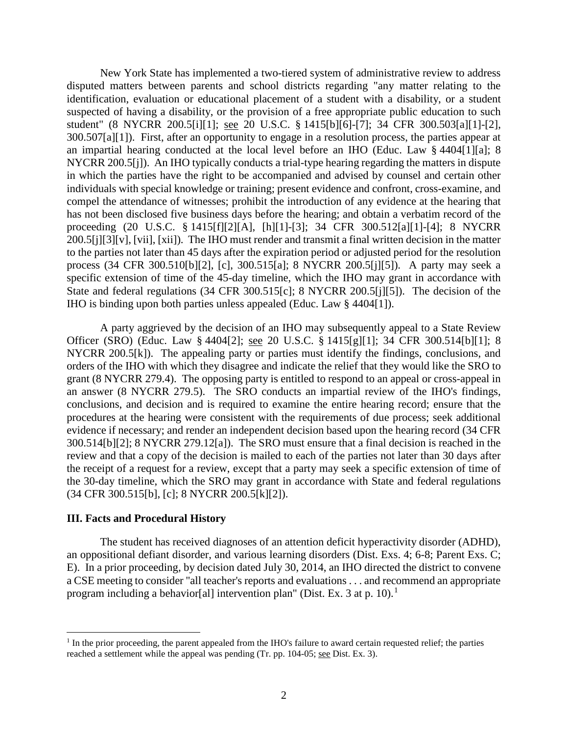New York State has implemented a two-tiered system of administrative review to address disputed matters between parents and school districts regarding "any matter relating to the identification, evaluation or educational placement of a student with a disability, or a student suspected of having a disability, or the provision of a free appropriate public education to such student" (8 NYCRR 200.5[i][1]; see 20 U.S.C. § 1415[b][6]-[7]; 34 CFR 300.503[a][1]-[2], 300.507[a][1]). First, after an opportunity to engage in a resolution process, the parties appear at an impartial hearing conducted at the local level before an IHO (Educ. Law § 4404[1][a]; 8 NYCRR 200.5[j]). An IHO typically conducts a trial-type hearing regarding the matters in dispute in which the parties have the right to be accompanied and advised by counsel and certain other individuals with special knowledge or training; present evidence and confront, cross-examine, and compel the attendance of witnesses; prohibit the introduction of any evidence at the hearing that has not been disclosed five business days before the hearing; and obtain a verbatim record of the proceeding (20 U.S.C. § 1415[f][2][A], [h][1]-[3]; 34 CFR 300.512[a][1]-[4]; 8 NYCRR 200.5[j][3][v], [vii], [xii]). The IHO must render and transmit a final written decision in the matter to the parties not later than 45 days after the expiration period or adjusted period for the resolution process (34 CFR 300.510[b][2], [c], 300.515[a]; 8 NYCRR 200.5[j][5]). A party may seek a specific extension of time of the 45-day timeline, which the IHO may grant in accordance with State and federal regulations (34 CFR 300.515[c]; 8 NYCRR 200.5[j][5]). The decision of the IHO is binding upon both parties unless appealed (Educ. Law § 4404[1]).

A party aggrieved by the decision of an IHO may subsequently appeal to a State Review Officer (SRO) (Educ. Law § 4404[2]; see 20 U.S.C. § 1415[g][1]; 34 CFR 300.514[b][1]; 8 NYCRR 200.5[k]). The appealing party or parties must identify the findings, conclusions, and orders of the IHO with which they disagree and indicate the relief that they would like the SRO to grant (8 NYCRR 279.4). The opposing party is entitled to respond to an appeal or cross-appeal in an answer (8 NYCRR 279.5). The SRO conducts an impartial review of the IHO's findings, conclusions, and decision and is required to examine the entire hearing record; ensure that the procedures at the hearing were consistent with the requirements of due process; seek additional evidence if necessary; and render an independent decision based upon the hearing record (34 CFR 300.514[b][2]; 8 NYCRR 279.12[a]). The SRO must ensure that a final decision is reached in the review and that a copy of the decision is mailed to each of the parties not later than 30 days after the receipt of a request for a review, except that a party may seek a specific extension of time of the 30-day timeline, which the SRO may grant in accordance with State and federal regulations (34 CFR 300.515[b], [c]; 8 NYCRR 200.5[k][2]).

#### **III. Facts and Procedural History**

The student has received diagnoses of an attention deficit hyperactivity disorder (ADHD), an oppositional defiant disorder, and various learning disorders (Dist. Exs. 4; 6-8; Parent Exs. C; E). In a prior proceeding, by decision dated July 30, 2014, an IHO directed the district to convene a CSE meeting to consider "all teacher's reports and evaluations . . . and recommend an appropriate program including a behavior[al] intervention plan" (Dist. Ex. 3 at p. 10).<sup>1</sup>

<sup>&</sup>lt;sup>1</sup> In the prior proceeding, the parent appealed from the IHO's failure to award certain requested relief; the parties reached a settlement while the appeal was pending (Tr. pp. 104-05; see Dist. Ex. 3).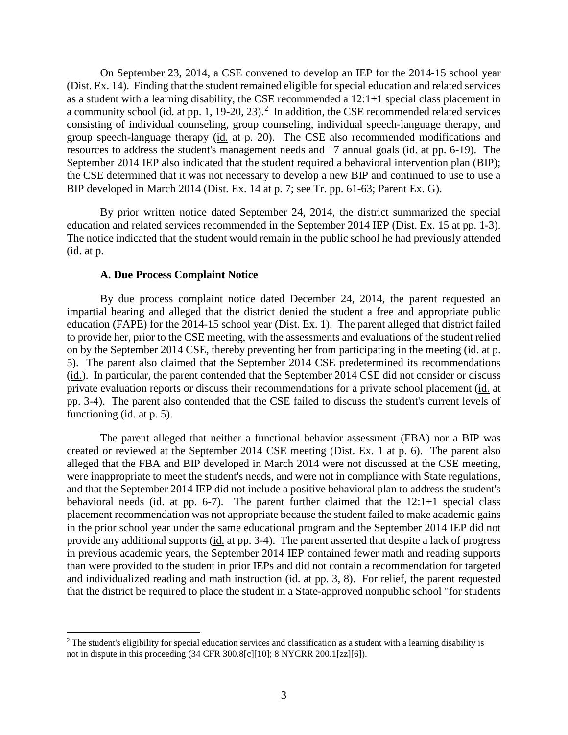On September 23, 2014, a CSE convened to develop an IEP for the 2014-15 school year (Dist. Ex. 14). Finding that the student remained eligible for special education and related services as a student with a learning disability, the CSE recommended a  $12:1+1$  special class placement in a community school (id. at pp. 1, 19-20, 23).<sup>2</sup> In addition, the CSE recommended related services consisting of individual counseling, group counseling, individual speech-language therapy, and group speech-language therapy (id. at p. 20). The CSE also recommended modifications and resources to address the student's management needs and 17 annual goals (id. at pp. 6-19). The September 2014 IEP also indicated that the student required a behavioral intervention plan (BIP); the CSE determined that it was not necessary to develop a new BIP and continued to use to use a BIP developed in March 2014 (Dist. Ex. 14 at p. 7; see Tr. pp. 61-63; Parent Ex. G).

By prior written notice dated September 24, 2014, the district summarized the special education and related services recommended in the September 2014 IEP (Dist. Ex. 15 at pp. 1-3). The notice indicated that the student would remain in the public school he had previously attended (id. at p.

## **A. Due Process Complaint Notice**

By due process complaint notice dated December 24, 2014, the parent requested an impartial hearing and alleged that the district denied the student a free and appropriate public education (FAPE) for the 2014-15 school year (Dist. Ex. 1). The parent alleged that district failed to provide her, prior to the CSE meeting, with the assessments and evaluations of the student relied on by the September 2014 CSE, thereby preventing her from participating in the meeting (id. at p. 5). The parent also claimed that the September 2014 CSE predetermined its recommendations (id.). In particular, the parent contended that the September 2014 CSE did not consider or discuss private evaluation reports or discuss their recommendations for a private school placement (id. at pp. 3-4). The parent also contended that the CSE failed to discuss the student's current levels of functioning (id. at p. 5).

The parent alleged that neither a functional behavior assessment (FBA) nor a BIP was created or reviewed at the September 2014 CSE meeting (Dist. Ex. 1 at p. 6). The parent also alleged that the FBA and BIP developed in March 2014 were not discussed at the CSE meeting, were inappropriate to meet the student's needs, and were not in compliance with State regulations, and that the September 2014 IEP did not include a positive behavioral plan to address the student's behavioral needs (id. at pp. 6-7). The parent further claimed that the 12:1+1 special class placement recommendation was not appropriate because the student failed to make academic gains in the prior school year under the same educational program and the September 2014 IEP did not provide any additional supports (id. at pp. 3-4). The parent asserted that despite a lack of progress in previous academic years, the September 2014 IEP contained fewer math and reading supports than were provided to the student in prior IEPs and did not contain a recommendation for targeted and individualized reading and math instruction (id. at pp. 3, 8). For relief, the parent requested that the district be required to place the student in a State-approved nonpublic school "for students

<sup>&</sup>lt;sup>2</sup> The student's eligibility for special education services and classification as a student with a learning disability is not in dispute in this proceeding (34 CFR 300.8[c][10]; 8 NYCRR 200.1[zz][6]).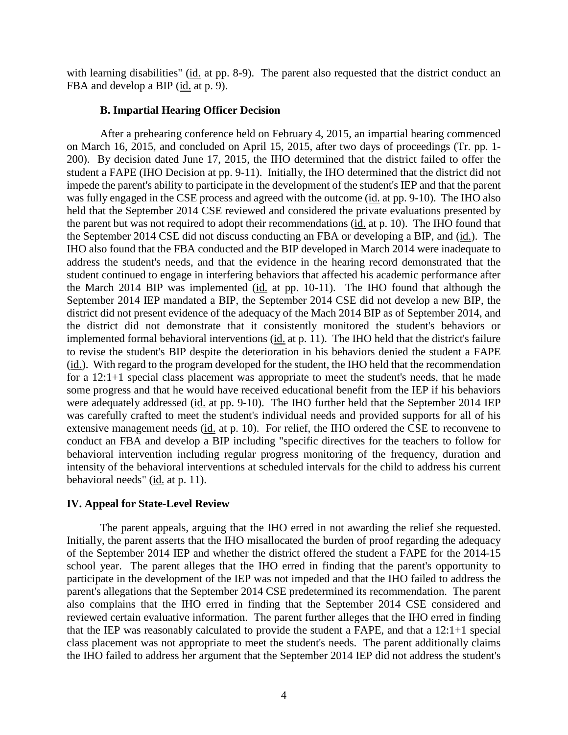with learning disabilities" (id. at pp. 8-9). The parent also requested that the district conduct an FBA and develop a BIP (id. at p. 9).

## **B. Impartial Hearing Officer Decision**

After a prehearing conference held on February 4, 2015, an impartial hearing commenced on March 16, 2015, and concluded on April 15, 2015, after two days of proceedings (Tr. pp. 1- 200). By decision dated June 17, 2015, the IHO determined that the district failed to offer the student a FAPE (IHO Decision at pp. 9-11). Initially, the IHO determined that the district did not impede the parent's ability to participate in the development of the student's IEP and that the parent was fully engaged in the CSE process and agreed with the outcome (id. at pp. 9-10). The IHO also held that the September 2014 CSE reviewed and considered the private evaluations presented by the parent but was not required to adopt their recommendations (id. at p. 10). The IHO found that the September 2014 CSE did not discuss conducting an FBA or developing a BIP, and (id.). The IHO also found that the FBA conducted and the BIP developed in March 2014 were inadequate to address the student's needs, and that the evidence in the hearing record demonstrated that the student continued to engage in interfering behaviors that affected his academic performance after the March 2014 BIP was implemented (id. at pp. 10-11). The IHO found that although the September 2014 IEP mandated a BIP, the September 2014 CSE did not develop a new BIP, the district did not present evidence of the adequacy of the Mach 2014 BIP as of September 2014, and the district did not demonstrate that it consistently monitored the student's behaviors or implemented formal behavioral interventions (id. at p. 11). The IHO held that the district's failure to revise the student's BIP despite the deterioration in his behaviors denied the student a FAPE (id.). With regard to the program developed for the student, the IHO held that the recommendation for a 12:1+1 special class placement was appropriate to meet the student's needs, that he made some progress and that he would have received educational benefit from the IEP if his behaviors were adequately addressed (id. at pp. 9-10). The IHO further held that the September 2014 IEP was carefully crafted to meet the student's individual needs and provided supports for all of his extensive management needs (id. at p. 10). For relief, the IHO ordered the CSE to reconvene to conduct an FBA and develop a BIP including "specific directives for the teachers to follow for behavioral intervention including regular progress monitoring of the frequency, duration and intensity of the behavioral interventions at scheduled intervals for the child to address his current behavioral needs" (id. at p. 11).

## **IV. Appeal for State-Level Review**

The parent appeals, arguing that the IHO erred in not awarding the relief she requested. Initially, the parent asserts that the IHO misallocated the burden of proof regarding the adequacy of the September 2014 IEP and whether the district offered the student a FAPE for the 2014-15 school year. The parent alleges that the IHO erred in finding that the parent's opportunity to participate in the development of the IEP was not impeded and that the IHO failed to address the parent's allegations that the September 2014 CSE predetermined its recommendation. The parent also complains that the IHO erred in finding that the September 2014 CSE considered and reviewed certain evaluative information. The parent further alleges that the IHO erred in finding that the IEP was reasonably calculated to provide the student a FAPE, and that a 12:1+1 special class placement was not appropriate to meet the student's needs. The parent additionally claims the IHO failed to address her argument that the September 2014 IEP did not address the student's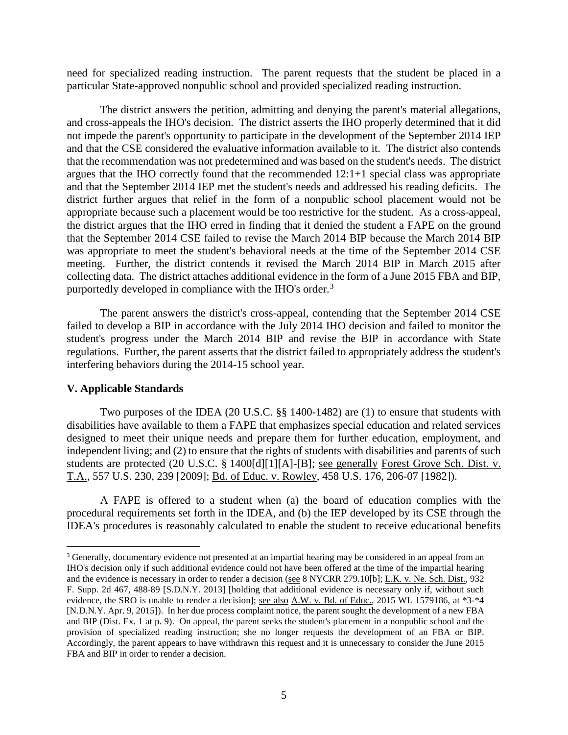need for specialized reading instruction. The parent requests that the student be placed in a particular State-approved nonpublic school and provided specialized reading instruction.

The district answers the petition, admitting and denying the parent's material allegations, and cross-appeals the IHO's decision. The district asserts the IHO properly determined that it did not impede the parent's opportunity to participate in the development of the September 2014 IEP and that the CSE considered the evaluative information available to it. The district also contends that the recommendation was not predetermined and was based on the student's needs. The district argues that the IHO correctly found that the recommended 12:1+1 special class was appropriate and that the September 2014 IEP met the student's needs and addressed his reading deficits. The district further argues that relief in the form of a nonpublic school placement would not be appropriate because such a placement would be too restrictive for the student. As a cross-appeal, the district argues that the IHO erred in finding that it denied the student a FAPE on the ground that the September 2014 CSE failed to revise the March 2014 BIP because the March 2014 BIP was appropriate to meet the student's behavioral needs at the time of the September 2014 CSE meeting. Further, the district contends it revised the March 2014 BIP in March 2015 after collecting data. The district attaches additional evidence in the form of a June 2015 FBA and BIP, purportedly developed in compliance with the IHO's order.<sup>3</sup>

The parent answers the district's cross-appeal, contending that the September 2014 CSE failed to develop a BIP in accordance with the July 2014 IHO decision and failed to monitor the student's progress under the March 2014 BIP and revise the BIP in accordance with State regulations. Further, the parent asserts that the district failed to appropriately address the student's interfering behaviors during the 2014-15 school year.

#### **V. Applicable Standards**

Two purposes of the IDEA (20 U.S.C. §§ 1400-1482) are (1) to ensure that students with disabilities have available to them a FAPE that emphasizes special education and related services designed to meet their unique needs and prepare them for further education, employment, and independent living; and (2) to ensure that the rights of students with disabilities and parents of such students are protected (20 U.S.C. § 1400[d][1][A]-[B]; see generally Forest Grove Sch. Dist. v. T.A., 557 U.S. 230, 239 [2009]; Bd. of Educ. v. Rowley, 458 U.S. 176, 206-07 [1982]).

A FAPE is offered to a student when (a) the board of education complies with the procedural requirements set forth in the IDEA, and (b) the IEP developed by its CSE through the IDEA's procedures is reasonably calculated to enable the student to receive educational benefits

<sup>&</sup>lt;sup>3</sup> Generally, documentary evidence not presented at an impartial hearing may be considered in an appeal from an IHO's decision only if such additional evidence could not have been offered at the time of the impartial hearing and the evidence is necessary in order to render a decision (see 8 NYCRR 279.10[b]; L.K. v. Ne. Sch. Dist., 932 F. Supp. 2d 467, 488-89 [S.D.N.Y. 2013] [holding that additional evidence is necessary only if, without such evidence, the SRO is unable to render a decision]; see also A.W. v. Bd. of Educ., 2015 WL 1579186, at \*3-\*4 [N.D.N.Y. Apr. 9, 2015]). In her due process complaint notice, the parent sought the development of a new FBA and BIP (Dist. Ex. 1 at p. 9). On appeal, the parent seeks the student's placement in a nonpublic school and the provision of specialized reading instruction; she no longer requests the development of an FBA or BIP. Accordingly, the parent appears to have withdrawn this request and it is unnecessary to consider the June 2015 FBA and BIP in order to render a decision.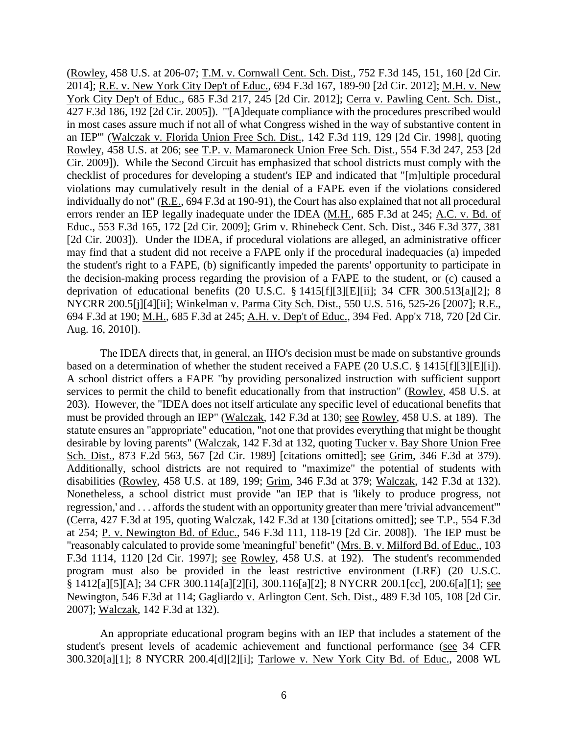(Rowley, 458 U.S. at 206-07; T.M. v. Cornwall Cent. Sch. Dist., 752 F.3d 145, 151, 160 [2d Cir. 2014]; R.E. v. New York City Dep't of Educ., 694 F.3d 167, 189-90 [2d Cir. 2012]; M.H. v. New York City Dep't of Educ., 685 F.3d 217, 245 [2d Cir. 2012]; Cerra v. Pawling Cent. Sch. Dist., 427 F.3d 186, 192 [2d Cir. 2005]). "'[A]dequate compliance with the procedures prescribed would in most cases assure much if not all of what Congress wished in the way of substantive content in an IEP'" (Walczak v. Florida Union Free Sch. Dist., 142 F.3d 119, 129 [2d Cir. 1998], quoting Rowley, 458 U.S. at 206; see T.P. v. Mamaroneck Union Free Sch. Dist., 554 F.3d 247, 253 [2d Cir. 2009]). While the Second Circuit has emphasized that school districts must comply with the checklist of procedures for developing a student's IEP and indicated that "[m]ultiple procedural violations may cumulatively result in the denial of a FAPE even if the violations considered individually do not" (R.E., 694 F.3d at 190-91), the Court has also explained that not all procedural errors render an IEP legally inadequate under the IDEA (M.H., 685 F.3d at 245; A.C. v. Bd. of Educ., 553 F.3d 165, 172 [2d Cir. 2009]; Grim v. Rhinebeck Cent. Sch. Dist., 346 F.3d 377, 381 [2d Cir. 2003]). Under the IDEA, if procedural violations are alleged, an administrative officer may find that a student did not receive a FAPE only if the procedural inadequacies (a) impeded the student's right to a FAPE, (b) significantly impeded the parents' opportunity to participate in the decision-making process regarding the provision of a FAPE to the student, or (c) caused a deprivation of educational benefits (20 U.S.C. § 1415[f][3][E][ii]; 34 CFR 300.513[a][2]; 8 NYCRR 200.5[j][4][ii]; Winkelman v. Parma City Sch. Dist., 550 U.S. 516, 525-26 [2007]; R.E., 694 F.3d at 190; M.H., 685 F.3d at 245; A.H. v. Dep't of Educ., 394 Fed. App'x 718, 720 [2d Cir. Aug. 16, 2010]).

The IDEA directs that, in general, an IHO's decision must be made on substantive grounds based on a determination of whether the student received a FAPE (20 U.S.C. § 1415[f][3][E][i]). A school district offers a FAPE "by providing personalized instruction with sufficient support services to permit the child to benefit educationally from that instruction" (Rowley, 458 U.S. at 203). However, the "IDEA does not itself articulate any specific level of educational benefits that must be provided through an IEP" (Walczak, 142 F.3d at 130; see Rowley, 458 U.S. at 189). The statute ensures an "appropriate" education, "not one that provides everything that might be thought desirable by loving parents" (Walczak, 142 F.3d at 132, quoting Tucker v. Bay Shore Union Free Sch. Dist., 873 F.2d 563, 567 [2d Cir. 1989] [citations omitted]; see Grim, 346 F.3d at 379). Additionally, school districts are not required to "maximize" the potential of students with disabilities (Rowley, 458 U.S. at 189, 199; Grim, 346 F.3d at 379; Walczak, 142 F.3d at 132). Nonetheless, a school district must provide "an IEP that is 'likely to produce progress, not regression,' and . . . affords the student with an opportunity greater than mere 'trivial advancement'" (Cerra, 427 F.3d at 195, quoting Walczak, 142 F.3d at 130 [citations omitted]; see T.P., 554 F.3d at 254; P. v. Newington Bd. of Educ., 546 F.3d 111, 118-19 [2d Cir. 2008]). The IEP must be "reasonably calculated to provide some 'meaningful' benefit" (Mrs. B. v. Milford Bd. of Educ., 103 F.3d 1114, 1120 [2d Cir. 1997]; see Rowley, 458 U.S. at 192). The student's recommended program must also be provided in the least restrictive environment (LRE) (20 U.S.C. § 1412[a][5][A]; 34 CFR 300.114[a][2][i], 300.116[a][2]; 8 NYCRR 200.1[cc], 200.6[a][1]; see Newington, 546 F.3d at 114; Gagliardo v. Arlington Cent. Sch. Dist., 489 F.3d 105, 108 [2d Cir. 2007]; Walczak, 142 F.3d at 132).

An appropriate educational program begins with an IEP that includes a statement of the student's present levels of academic achievement and functional performance (see 34 CFR 300.320[a][1]; 8 NYCRR 200.4[d][2][i]; Tarlowe v. New York City Bd. of Educ., 2008 WL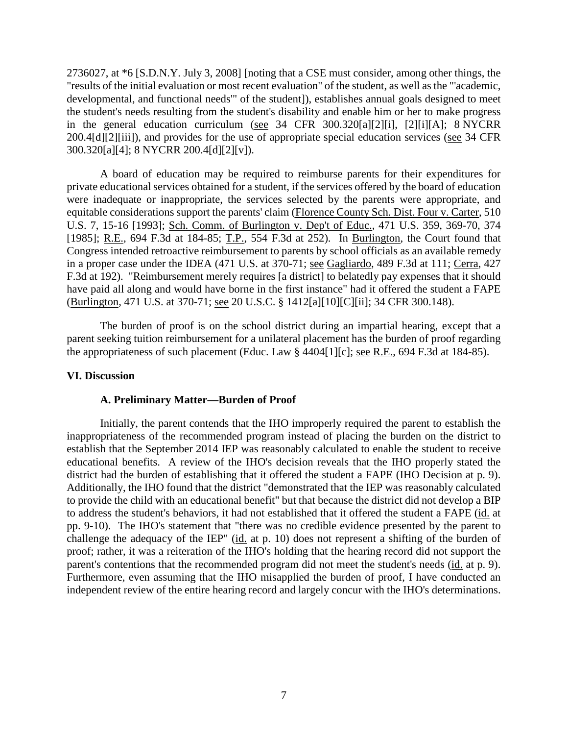2736027, at \*6 [S.D.N.Y. July 3, 2008] [noting that a CSE must consider, among other things, the "results of the initial evaluation or most recent evaluation" of the student, as well as the "'academic, developmental, and functional needs'" of the student]), establishes annual goals designed to meet the student's needs resulting from the student's disability and enable him or her to make progress in the general education curriculum (see 34 CFR 300.320[a][2][i], [2][i][A]; 8 NYCRR 200.4[d][2][iii]), and provides for the use of appropriate special education services (see 34 CFR 300.320[a][4]; 8 NYCRR 200.4[d][2][v]).

A board of education may be required to reimburse parents for their expenditures for private educational services obtained for a student, if the services offered by the board of education were inadequate or inappropriate, the services selected by the parents were appropriate, and equitable considerations support the parents' claim (Florence County Sch. Dist. Four v. Carter, 510 U.S. 7, 15-16 [1993]; Sch. Comm. of Burlington v. Dep't of Educ., 471 U.S. 359, 369-70, 374 [1985]; R.E., 694 F.3d at 184-85; T.P., 554 F.3d at 252). In Burlington, the Court found that Congress intended retroactive reimbursement to parents by school officials as an available remedy in a proper case under the IDEA (471 U.S. at 370-71; see Gagliardo, 489 F.3d at 111; Cerra, 427 F.3d at 192). "Reimbursement merely requires [a district] to belatedly pay expenses that it should have paid all along and would have borne in the first instance" had it offered the student a FAPE (Burlington, 471 U.S. at 370-71; see 20 U.S.C. § 1412[a][10][C][ii]; 34 CFR 300.148).

The burden of proof is on the school district during an impartial hearing, except that a parent seeking tuition reimbursement for a unilateral placement has the burden of proof regarding the appropriateness of such placement (Educ. Law  $\S$  4404[1][c]; <u>see R.E.</u>, 694 F.3d at 184-85).

#### **VI. Discussion**

#### **A. Preliminary Matter—Burden of Proof**

Initially, the parent contends that the IHO improperly required the parent to establish the inappropriateness of the recommended program instead of placing the burden on the district to establish that the September 2014 IEP was reasonably calculated to enable the student to receive educational benefits. A review of the IHO's decision reveals that the IHO properly stated the district had the burden of establishing that it offered the student a FAPE (IHO Decision at p. 9). Additionally, the IHO found that the district "demonstrated that the IEP was reasonably calculated to provide the child with an educational benefit" but that because the district did not develop a BIP to address the student's behaviors, it had not established that it offered the student a FAPE (id. at pp. 9-10). The IHO's statement that "there was no credible evidence presented by the parent to challenge the adequacy of the IEP" (id. at p. 10) does not represent a shifting of the burden of proof; rather, it was a reiteration of the IHO's holding that the hearing record did not support the parent's contentions that the recommended program did not meet the student's needs (id. at p. 9). Furthermore, even assuming that the IHO misapplied the burden of proof, I have conducted an independent review of the entire hearing record and largely concur with the IHO's determinations.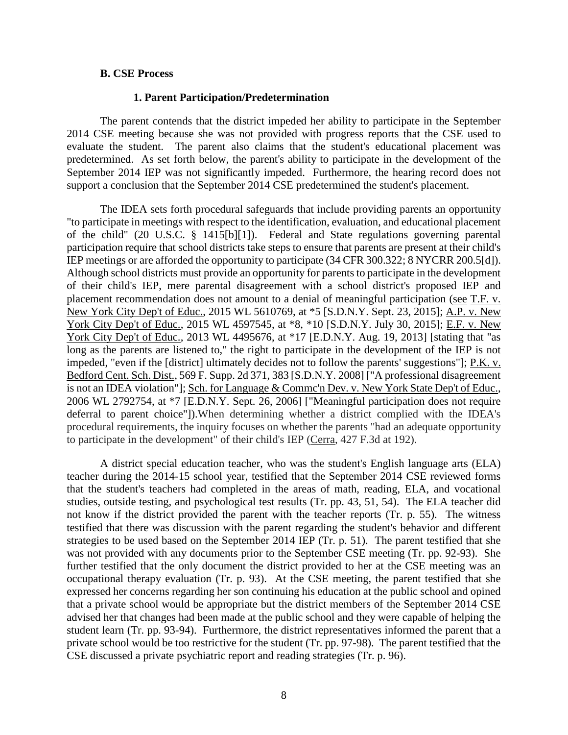#### **B. CSE Process**

## **1. Parent Participation/Predetermination**

The parent contends that the district impeded her ability to participate in the September 2014 CSE meeting because she was not provided with progress reports that the CSE used to evaluate the student. The parent also claims that the student's educational placement was predetermined. As set forth below, the parent's ability to participate in the development of the September 2014 IEP was not significantly impeded. Furthermore, the hearing record does not support a conclusion that the September 2014 CSE predetermined the student's placement.

The IDEA sets forth procedural safeguards that include providing parents an opportunity "to participate in meetings with respect to the identification, evaluation, and educational placement of the child" (20 U.S.C. § 1415[b][1]). Federal and State regulations governing parental participation require that school districts take steps to ensure that parents are present at their child's IEP meetings or are afforded the opportunity to participate (34 CFR 300.322; 8 NYCRR 200.5[d]). Although school districts must provide an opportunity for parents to participate in the development of their child's IEP, mere parental disagreement with a school district's proposed IEP and placement recommendation does not amount to a denial of meaningful participation (see T.F. v. New York City Dep't of Educ., 2015 WL 5610769, at \*5 [S.D.N.Y. Sept. 23, 2015]; A.P. v. New York City Dep't of Educ., 2015 WL 4597545, at \*8, \*10 [S.D.N.Y. July 30, 2015]; E.F. v. New York City Dep't of Educ., 2013 WL 4495676, at \*17 [E.D.N.Y. Aug. 19, 2013] [stating that "as long as the parents are listened to," the right to participate in the development of the IEP is not impeded, "even if the [district] ultimately decides not to follow the parents' suggestions"]; P.K. v. Bedford Cent. Sch. Dist., 569 F. Supp. 2d 371, 383 [S.D.N.Y. 2008] ["A professional disagreement is not an IDEA violation"]; Sch. for Language & Commc'n Dev. v. New York State Dep't of Educ., 2006 WL 2792754, at \*7 [E.D.N.Y. Sept. 26, 2006] ["Meaningful participation does not require deferral to parent choice"]).When determining whether a district complied with the IDEA's procedural requirements, the inquiry focuses on whether the parents "had an adequate opportunity to participate in the development" of their child's IEP (Cerra, 427 F.3d at 192).

A district special education teacher, who was the student's English language arts (ELA) teacher during the 2014-15 school year, testified that the September 2014 CSE reviewed forms that the student's teachers had completed in the areas of math, reading, ELA, and vocational studies, outside testing, and psychological test results (Tr. pp. 43, 51, 54). The ELA teacher did not know if the district provided the parent with the teacher reports (Tr. p. 55). The witness testified that there was discussion with the parent regarding the student's behavior and different strategies to be used based on the September 2014 IEP (Tr. p. 51). The parent testified that she was not provided with any documents prior to the September CSE meeting (Tr. pp. 92-93). She further testified that the only document the district provided to her at the CSE meeting was an occupational therapy evaluation (Tr. p. 93). At the CSE meeting, the parent testified that she expressed her concerns regarding her son continuing his education at the public school and opined that a private school would be appropriate but the district members of the September 2014 CSE advised her that changes had been made at the public school and they were capable of helping the student learn (Tr. pp. 93-94). Furthermore, the district representatives informed the parent that a private school would be too restrictive for the student (Tr. pp. 97-98). The parent testified that the CSE discussed a private psychiatric report and reading strategies (Tr. p. 96).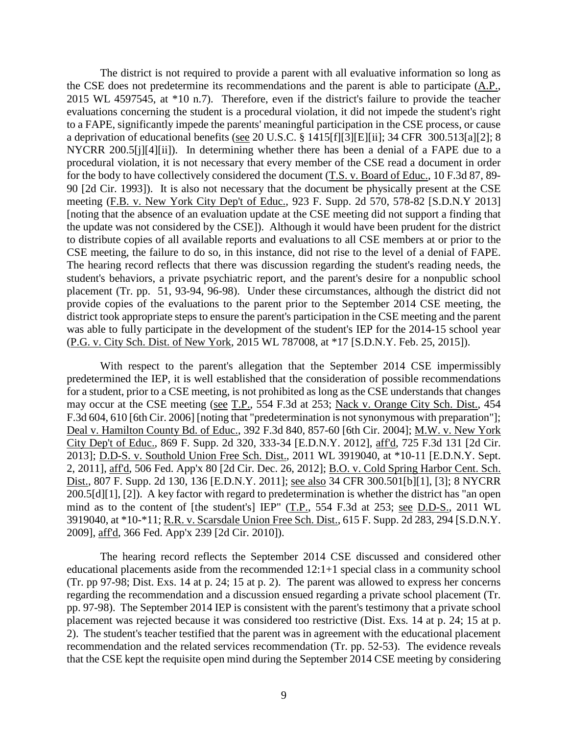The district is not required to provide a parent with all evaluative information so long as the CSE does not predetermine its recommendations and the parent is able to participate (A.P., 2015 WL 4597545, at \*10 n.7). Therefore, even if the district's failure to provide the teacher evaluations concerning the student is a procedural violation, it did not impede the student's right to a FAPE, significantly impede the parents' meaningful participation in the CSE process, or cause a deprivation of educational benefits (see 20 U.S.C. § 1415[f][3][E][ii]; 34 CFR 300.513[a][2]; 8 NYCRR 200.5[j][4][ii]). In determining whether there has been a denial of a FAPE due to a procedural violation, it is not necessary that every member of the CSE read a document in order for the body to have collectively considered the document (T.S. v. Board of Educ., 10 F.3d 87, 89- 90 [2d Cir. 1993]). It is also not necessary that the document be physically present at the CSE meeting (F.B. v. New York City Dep't of Educ., 923 F. Supp. 2d 570, 578-82 [S.D.N.Y 2013] [noting that the absence of an evaluation update at the CSE meeting did not support a finding that the update was not considered by the CSE]). Although it would have been prudent for the district to distribute copies of all available reports and evaluations to all CSE members at or prior to the CSE meeting, the failure to do so, in this instance, did not rise to the level of a denial of FAPE. The hearing record reflects that there was discussion regarding the student's reading needs, the student's behaviors, a private psychiatric report, and the parent's desire for a nonpublic school placement (Tr. pp. 51, 93-94, 96-98). Under these circumstances, although the district did not provide copies of the evaluations to the parent prior to the September 2014 CSE meeting, the district took appropriate steps to ensure the parent's participation in the CSE meeting and the parent was able to fully participate in the development of the student's IEP for the 2014-15 school year (P.G. v. City Sch. Dist. of New York, 2015 WL 787008, at \*17 [S.D.N.Y. Feb. 25, 2015]).

With respect to the parent's allegation that the September 2014 CSE impermissibly predetermined the IEP, it is well established that the consideration of possible recommendations for a student, prior to a CSE meeting, is not prohibited as long as the CSE understands that changes may occur at the CSE meeting (see T.P., 554 F.3d at 253; Nack v. Orange City Sch. Dist., 454 F.3d 604, 610 [6th Cir. 2006] [noting that "predetermination is not synonymous with preparation"]; Deal v. Hamilton County Bd. of Educ., 392 F.3d 840, 857-60 [6th Cir. 2004]; M.W. v. New York City Dep't of Educ., 869 F. Supp. 2d 320, 333-34 [E.D.N.Y. 2012], aff'd, 725 F.3d 131 [2d Cir. 2013]; D.D-S. v. Southold Union Free Sch. Dist., 2011 WL 3919040, at \*10-11 [E.D.N.Y. Sept. 2, 2011], aff'd, 506 Fed. App'x 80 [2d Cir. Dec. 26, 2012]; B.O. v. Cold Spring Harbor Cent. Sch. Dist., 807 F. Supp. 2d 130, 136 [E.D.N.Y. 2011]; see also 34 CFR 300.501[b][1], [3]; 8 NYCRR 200.5[d][1], [2]). A key factor with regard to predetermination is whether the district has "an open mind as to the content of [the student's] IEP" (T.P., 554 F.3d at 253; see D.D-S., 2011 WL 3919040, at \*10-\*11; R.R. v. Scarsdale Union Free Sch. Dist., 615 F. Supp. 2d 283, 294 [S.D.N.Y. 2009], aff'd, 366 Fed. App'x 239 [2d Cir. 2010]).

The hearing record reflects the September 2014 CSE discussed and considered other educational placements aside from the recommended 12:1+1 special class in a community school (Tr. pp 97-98; Dist. Exs. 14 at p. 24; 15 at p. 2). The parent was allowed to express her concerns regarding the recommendation and a discussion ensued regarding a private school placement (Tr. pp. 97-98). The September 2014 IEP is consistent with the parent's testimony that a private school placement was rejected because it was considered too restrictive (Dist. Exs. 14 at p. 24; 15 at p. 2). The student's teacher testified that the parent was in agreement with the educational placement recommendation and the related services recommendation (Tr. pp. 52-53). The evidence reveals that the CSE kept the requisite open mind during the September 2014 CSE meeting by considering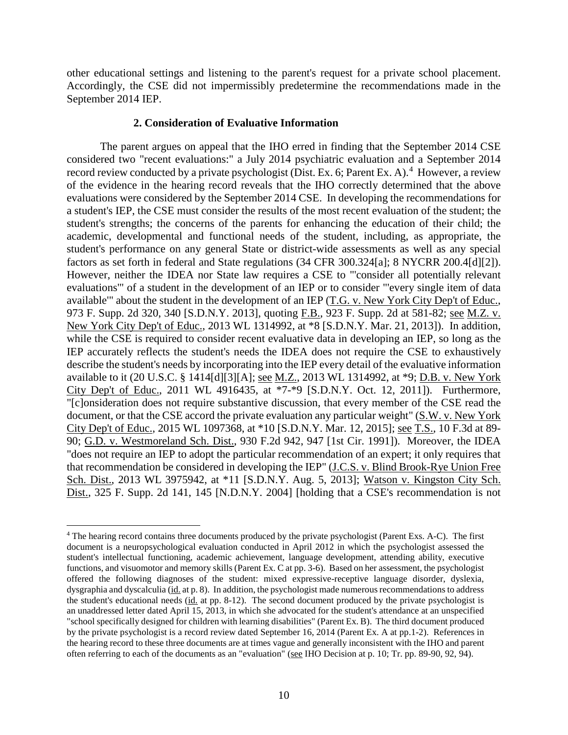other educational settings and listening to the parent's request for a private school placement. Accordingly, the CSE did not impermissibly predetermine the recommendations made in the September 2014 IEP.

#### **2. Consideration of Evaluative Information**

The parent argues on appeal that the IHO erred in finding that the September 2014 CSE considered two "recent evaluations:" a July 2014 psychiatric evaluation and a September 2014 record review conducted by a private psychologist (Dist. Ex. 6; Parent Ex. A).<sup>4</sup> However, a review of the evidence in the hearing record reveals that the IHO correctly determined that the above evaluations were considered by the September 2014 CSE. In developing the recommendations for a student's IEP, the CSE must consider the results of the most recent evaluation of the student; the student's strengths; the concerns of the parents for enhancing the education of their child; the academic, developmental and functional needs of the student, including, as appropriate, the student's performance on any general State or district-wide assessments as well as any special factors as set forth in federal and State regulations (34 CFR 300.324[a]; 8 NYCRR 200.4[d][2]). However, neither the IDEA nor State law requires a CSE to "'consider all potentially relevant evaluations'" of a student in the development of an IEP or to consider "'every single item of data available'" about the student in the development of an IEP (T.G. v. New York City Dep't of Educ., 973 F. Supp. 2d 320, 340 [S.D.N.Y. 2013], quoting F.B., 923 F. Supp. 2d at 581-82; see M.Z. v. New York City Dep't of Educ., 2013 WL 1314992, at \*8 [S.D.N.Y. Mar. 21, 2013]). In addition, while the CSE is required to consider recent evaluative data in developing an IEP, so long as the IEP accurately reflects the student's needs the IDEA does not require the CSE to exhaustively describe the student's needs by incorporating into the IEP every detail of the evaluative information available to it (20 U.S.C. § 1414[d][3][A]; see M.Z., 2013 WL 1314992, at \*9; D.B. v. New York City Dep't of Educ., 2011 WL 4916435, at \*7-\*9 [S.D.N.Y. Oct. 12, 2011]). Furthermore, "[c]onsideration does not require substantive discussion, that every member of the CSE read the document, or that the CSE accord the private evaluation any particular weight" (S.W. v. New York City Dep't of Educ., 2015 WL 1097368, at \*10 [S.D.N.Y. Mar. 12, 2015]; see T.S., 10 F.3d at 89- 90; G.D. v. Westmoreland Sch. Dist., 930 F.2d 942, 947 [1st Cir. 1991]). Moreover, the IDEA "does not require an IEP to adopt the particular recommendation of an expert; it only requires that that recommendation be considered in developing the IEP" (J.C.S. v. Blind Brook-Rye Union Free Sch. Dist., 2013 WL 3975942, at \*11 [S.D.N.Y. Aug. 5, 2013]; Watson v. Kingston City Sch. Dist., 325 F. Supp. 2d 141, 145 [N.D.N.Y. 2004] [holding that a CSE's recommendation is not

 <sup>4</sup> The hearing record contains three documents produced by the private psychologist (Parent Exs. A-C). The first document is a neuropsychological evaluation conducted in April 2012 in which the psychologist assessed the student's intellectual functioning, academic achievement, language development, attending ability, executive functions, and visuomotor and memory skills (Parent Ex. C at pp. 3-6). Based on her assessment, the psychologist offered the following diagnoses of the student: mixed expressive-receptive language disorder, dyslexia, dysgraphia and dyscalculia (id. at p. 8). In addition, the psychologist made numerous recommendations to address the student's educational needs (id. at pp. 8-12). The second document produced by the private psychologist is an unaddressed letter dated April 15, 2013, in which she advocated for the student's attendance at an unspecified "school specifically designed for children with learning disabilities" (Parent Ex. B). The third document produced by the private psychologist is a record review dated September 16, 2014 (Parent Ex. A at pp.1-2). References in the hearing record to these three documents are at times vague and generally inconsistent with the IHO and parent often referring to each of the documents as an "evaluation" (see IHO Decision at p. 10; Tr. pp. 89-90, 92, 94).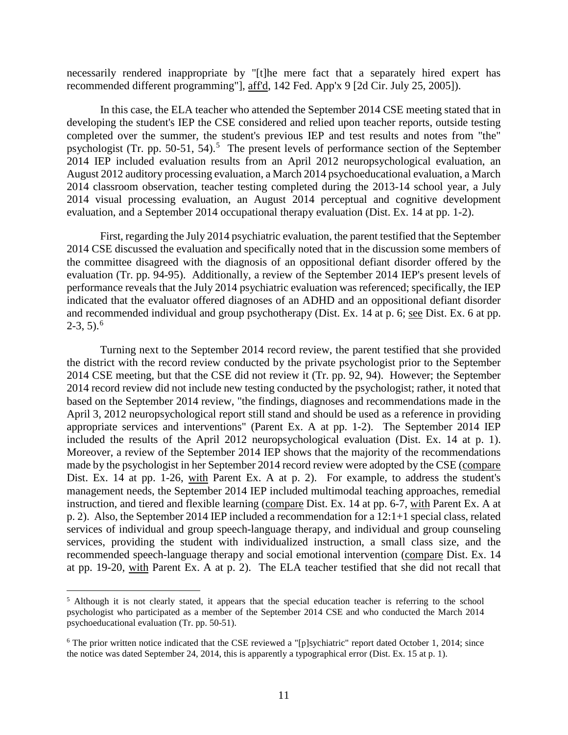necessarily rendered inappropriate by "[t]he mere fact that a separately hired expert has recommended different programming"], aff'd, 142 Fed. App'x 9 [2d Cir. July 25, 2005]).

In this case, the ELA teacher who attended the September 2014 CSE meeting stated that in developing the student's IEP the CSE considered and relied upon teacher reports, outside testing completed over the summer, the student's previous IEP and test results and notes from "the" psychologist (Tr. pp. 50-51, 54).<sup>5</sup> The present levels of performance section of the September 2014 IEP included evaluation results from an April 2012 neuropsychological evaluation, an August 2012 auditory processing evaluation, a March 2014 psychoeducational evaluation, a March 2014 classroom observation, teacher testing completed during the 2013-14 school year, a July 2014 visual processing evaluation, an August 2014 perceptual and cognitive development evaluation, and a September 2014 occupational therapy evaluation (Dist. Ex. 14 at pp. 1-2).

First, regarding the July 2014 psychiatric evaluation, the parent testified that the September 2014 CSE discussed the evaluation and specifically noted that in the discussion some members of the committee disagreed with the diagnosis of an oppositional defiant disorder offered by the evaluation (Tr. pp. 94-95). Additionally, a review of the September 2014 IEP's present levels of performance reveals that the July 2014 psychiatric evaluation was referenced; specifically, the IEP indicated that the evaluator offered diagnoses of an ADHD and an oppositional defiant disorder and recommended individual and group psychotherapy (Dist. Ex. 14 at p. 6; see Dist. Ex. 6 at pp.  $2-3, 5$ .<sup>6</sup>

Turning next to the September 2014 record review, the parent testified that she provided the district with the record review conducted by the private psychologist prior to the September 2014 CSE meeting, but that the CSE did not review it (Tr. pp. 92, 94). However; the September 2014 record review did not include new testing conducted by the psychologist; rather, it noted that based on the September 2014 review, "the findings, diagnoses and recommendations made in the April 3, 2012 neuropsychological report still stand and should be used as a reference in providing appropriate services and interventions" (Parent Ex. A at pp. 1-2). The September 2014 IEP included the results of the April 2012 neuropsychological evaluation (Dist. Ex. 14 at p. 1). Moreover, a review of the September 2014 IEP shows that the majority of the recommendations made by the psychologist in her September 2014 record review were adopted by the CSE (compare Dist. Ex. 14 at pp. 1-26, with Parent Ex. A at p. 2). For example, to address the student's management needs, the September 2014 IEP included multimodal teaching approaches, remedial instruction, and tiered and flexible learning (compare Dist. Ex. 14 at pp. 6-7, with Parent Ex. A at p. 2). Also, the September 2014 IEP included a recommendation for a 12:1+1 special class, related services of individual and group speech-language therapy, and individual and group counseling services, providing the student with individualized instruction, a small class size, and the recommended speech-language therapy and social emotional intervention (compare Dist. Ex. 14 at pp. 19-20, with Parent Ex. A at p. 2). The ELA teacher testified that she did not recall that

 <sup>5</sup> Although it is not clearly stated, it appears that the special education teacher is referring to the school psychologist who participated as a member of the September 2014 CSE and who conducted the March 2014 psychoeducational evaluation (Tr. pp. 50-51).

<sup>&</sup>lt;sup>6</sup> The prior written notice indicated that the CSE reviewed a "[p]sychiatric" report dated October 1, 2014; since the notice was dated September 24, 2014, this is apparently a typographical error (Dist. Ex. 15 at p. 1).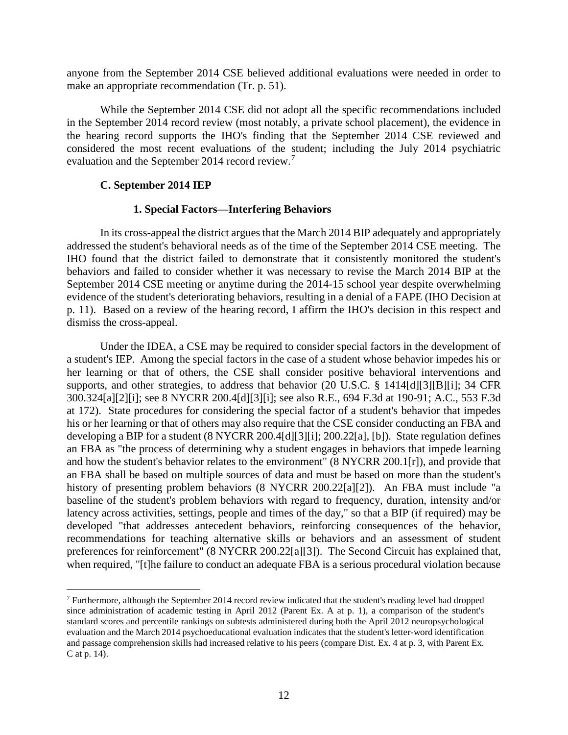anyone from the September 2014 CSE believed additional evaluations were needed in order to make an appropriate recommendation (Tr. p. 51).

While the September 2014 CSE did not adopt all the specific recommendations included in the September 2014 record review (most notably, a private school placement), the evidence in the hearing record supports the IHO's finding that the September 2014 CSE reviewed and considered the most recent evaluations of the student; including the July 2014 psychiatric evaluation and the September 2014 record review.<sup>7</sup>

## **C. September 2014 IEP**

## **1. Special Factors—Interfering Behaviors**

In its cross-appeal the district argues that the March 2014 BIP adequately and appropriately addressed the student's behavioral needs as of the time of the September 2014 CSE meeting. The IHO found that the district failed to demonstrate that it consistently monitored the student's behaviors and failed to consider whether it was necessary to revise the March 2014 BIP at the September 2014 CSE meeting or anytime during the 2014-15 school year despite overwhelming evidence of the student's deteriorating behaviors, resulting in a denial of a FAPE (IHO Decision at p. 11). Based on a review of the hearing record, I affirm the IHO's decision in this respect and dismiss the cross-appeal.

Under the IDEA, a CSE may be required to consider special factors in the development of a student's IEP. Among the special factors in the case of a student whose behavior impedes his or her learning or that of others, the CSE shall consider positive behavioral interventions and supports, and other strategies, to address that behavior (20 U.S.C. § 1414[d][3][B][i]; 34 CFR 300.324[a][2][i]; see 8 NYCRR 200.4[d][3][i]; see also R.E., 694 F.3d at 190-91; A.C., 553 F.3d at 172). State procedures for considering the special factor of a student's behavior that impedes his or her learning or that of others may also require that the CSE consider conducting an FBA and developing a BIP for a student (8 NYCRR 200.4[d][3][i]; 200.22[a], [b]). State regulation defines an FBA as "the process of determining why a student engages in behaviors that impede learning and how the student's behavior relates to the environment" (8 NYCRR 200.1[r]), and provide that an FBA shall be based on multiple sources of data and must be based on more than the student's history of presenting problem behaviors (8 NYCRR 200.22[a][2]). An FBA must include "a baseline of the student's problem behaviors with regard to frequency, duration, intensity and/or latency across activities, settings, people and times of the day," so that a BIP (if required) may be developed "that addresses antecedent behaviors, reinforcing consequences of the behavior, recommendations for teaching alternative skills or behaviors and an assessment of student preferences for reinforcement" (8 NYCRR 200.22[a][3]). The Second Circuit has explained that, when required, "[t]he failure to conduct an adequate FBA is a serious procedural violation because

 <sup>7</sup> Furthermore, although the September 2014 record review indicated that the student's reading level had dropped since administration of academic testing in April 2012 (Parent Ex. A at p. 1), a comparison of the student's standard scores and percentile rankings on subtests administered during both the April 2012 neuropsychological evaluation and the March 2014 psychoeducational evaluation indicates that the student's letter-word identification and passage comprehension skills had increased relative to his peers (compare Dist. Ex. 4 at p. 3, with Parent Ex. C at p. 14).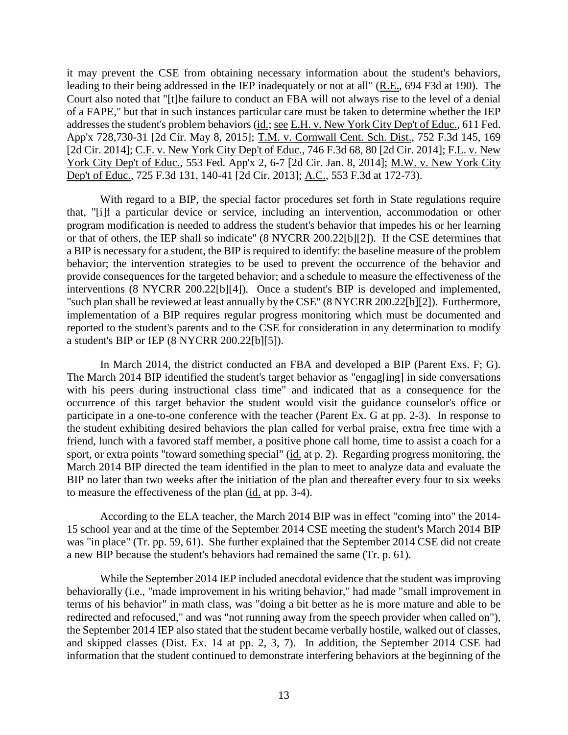it may prevent the CSE from obtaining necessary information about the student's behaviors, leading to their being addressed in the IEP inadequately or not at all" (R.E., 694 F3d at 190). The Court also noted that "[t]he failure to conduct an FBA will not always rise to the level of a denial of a FAPE," but that in such instances particular care must be taken to determine whether the IEP addresses the student's problem behaviors (id.; see E.H. v. New York City Dep't of Educ., 611 Fed. App'x 728,730-31 [2d Cir. May 8, 2015]; T.M. v. Cornwall Cent. Sch. Dist., 752 F.3d 145, 169 [2d Cir. 2014]; C.F. v. New York City Dep't of Educ., 746 F.3d 68, 80 [2d Cir. 2014]; F.L. v. New York City Dep't of Educ., 553 Fed. App'x 2, 6-7 [2d Cir. Jan. 8, 2014]; M.W. v. New York City Dep't of Educ., 725 F.3d 131, 140-41 [2d Cir. 2013]; A.C., 553 F.3d at 172-73).

With regard to a BIP, the special factor procedures set forth in State regulations require that, "[i]f a particular device or service, including an intervention, accommodation or other program modification is needed to address the student's behavior that impedes his or her learning or that of others, the IEP shall so indicate" (8 NYCRR 200.22[b][2]). If the CSE determines that a BIP is necessary for a student, the BIP is required to identify: the baseline measure of the problem behavior; the intervention strategies to be used to prevent the occurrence of the behavior and provide consequences for the targeted behavior; and a schedule to measure the effectiveness of the interventions (8 NYCRR 200.22[b][4]). Once a student's BIP is developed and implemented, "such plan shall be reviewed at least annually by the CSE" (8 NYCRR 200.22[b][2]). Furthermore, implementation of a BIP requires regular progress monitoring which must be documented and reported to the student's parents and to the CSE for consideration in any determination to modify a student's BIP or IEP (8 NYCRR 200.22[b][5]).

In March 2014, the district conducted an FBA and developed a BIP (Parent Exs. F; G). The March 2014 BIP identified the student's target behavior as "engag[ing] in side conversations with his peers during instructional class time" and indicated that as a consequence for the occurrence of this target behavior the student would visit the guidance counselor's office or participate in a one-to-one conference with the teacher (Parent Ex. G at pp. 2-3). In response to the student exhibiting desired behaviors the plan called for verbal praise, extra free time with a friend, lunch with a favored staff member, a positive phone call home, time to assist a coach for a sport, or extra points "toward something special" (id. at p. 2). Regarding progress monitoring, the March 2014 BIP directed the team identified in the plan to meet to analyze data and evaluate the BIP no later than two weeks after the initiation of the plan and thereafter every four to six weeks to measure the effectiveness of the plan (id. at pp. 3-4).

According to the ELA teacher, the March 2014 BIP was in effect "coming into" the 2014- 15 school year and at the time of the September 2014 CSE meeting the student's March 2014 BIP was "in place" (Tr. pp. 59, 61). She further explained that the September 2014 CSE did not create a new BIP because the student's behaviors had remained the same (Tr. p. 61).

While the September 2014 IEP included anecdotal evidence that the student was improving behaviorally (i.e., "made improvement in his writing behavior," had made "small improvement in terms of his behavior" in math class, was "doing a bit better as he is more mature and able to be redirected and refocused," and was "not running away from the speech provider when called on"), the September 2014 IEP also stated that the student became verbally hostile, walked out of classes, and skipped classes (Dist. Ex. 14 at pp. 2, 3, 7). In addition, the September 2014 CSE had information that the student continued to demonstrate interfering behaviors at the beginning of the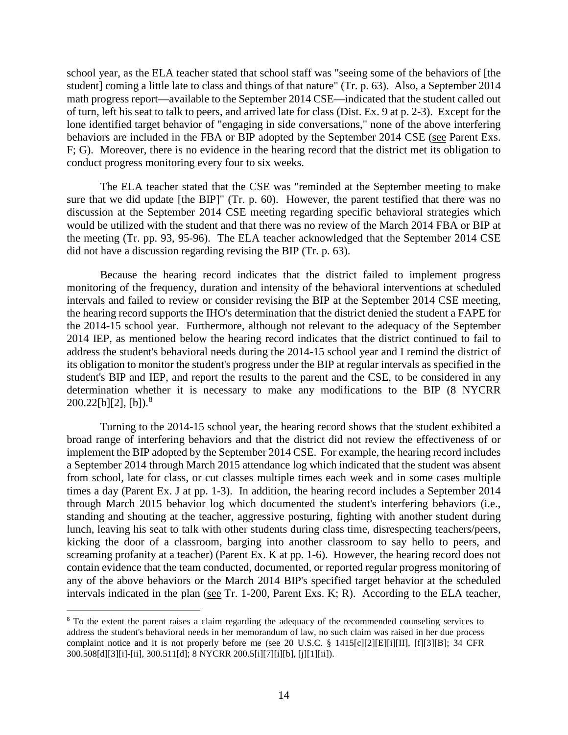school year, as the ELA teacher stated that school staff was "seeing some of the behaviors of [the student] coming a little late to class and things of that nature" (Tr. p. 63). Also, a September 2014 math progress report—available to the September 2014 CSE—indicated that the student called out of turn, left his seat to talk to peers, and arrived late for class (Dist. Ex. 9 at p. 2-3). Except for the lone identified target behavior of "engaging in side conversations," none of the above interfering behaviors are included in the FBA or BIP adopted by the September 2014 CSE (see Parent Exs. F; G). Moreover, there is no evidence in the hearing record that the district met its obligation to conduct progress monitoring every four to six weeks.

The ELA teacher stated that the CSE was "reminded at the September meeting to make sure that we did update [the BIP]" (Tr. p. 60). However, the parent testified that there was no discussion at the September 2014 CSE meeting regarding specific behavioral strategies which would be utilized with the student and that there was no review of the March 2014 FBA or BIP at the meeting (Tr. pp. 93, 95-96). The ELA teacher acknowledged that the September 2014 CSE did not have a discussion regarding revising the BIP (Tr. p. 63).

Because the hearing record indicates that the district failed to implement progress monitoring of the frequency, duration and intensity of the behavioral interventions at scheduled intervals and failed to review or consider revising the BIP at the September 2014 CSE meeting, the hearing record supports the IHO's determination that the district denied the student a FAPE for the 2014-15 school year. Furthermore, although not relevant to the adequacy of the September 2014 IEP, as mentioned below the hearing record indicates that the district continued to fail to address the student's behavioral needs during the 2014-15 school year and I remind the district of its obligation to monitor the student's progress under the BIP at regular intervals as specified in the student's BIP and IEP, and report the results to the parent and the CSE, to be considered in any determination whether it is necessary to make any modifications to the BIP (8 NYCRR  $200.22[b][2]$ , [b]).<sup>8</sup>

Turning to the 2014-15 school year, the hearing record shows that the student exhibited a broad range of interfering behaviors and that the district did not review the effectiveness of or implement the BIP adopted by the September 2014 CSE. For example, the hearing record includes a September 2014 through March 2015 attendance log which indicated that the student was absent from school, late for class, or cut classes multiple times each week and in some cases multiple times a day (Parent Ex. J at pp. 1-3). In addition, the hearing record includes a September 2014 through March 2015 behavior log which documented the student's interfering behaviors (i.e., standing and shouting at the teacher, aggressive posturing, fighting with another student during lunch, leaving his seat to talk with other students during class time, disrespecting teachers/peers, kicking the door of a classroom, barging into another classroom to say hello to peers, and screaming profanity at a teacher) (Parent Ex. K at pp. 1-6). However, the hearing record does not contain evidence that the team conducted, documented, or reported regular progress monitoring of any of the above behaviors or the March 2014 BIP's specified target behavior at the scheduled intervals indicated in the plan (see Tr. 1-200, Parent Exs. K; R). According to the ELA teacher,

<sup>&</sup>lt;sup>8</sup> To the extent the parent raises a claim regarding the adequacy of the recommended counseling services to address the student's behavioral needs in her memorandum of law, no such claim was raised in her due process complaint notice and it is not properly before me (see 20 U.S.C. § 1415[c][2][E][i][II], [f][3][B]; 34 CFR 300.508[d][3][i]-[ii], 300.511[d]; 8 NYCRR 200.5[i][7][i][b], [j][1][ii]).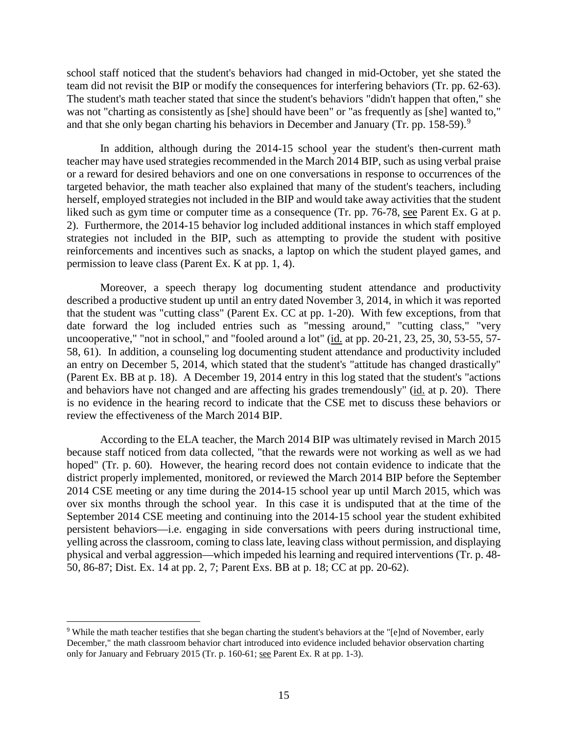school staff noticed that the student's behaviors had changed in mid-October, yet she stated the team did not revisit the BIP or modify the consequences for interfering behaviors (Tr. pp. 62-63). The student's math teacher stated that since the student's behaviors "didn't happen that often," she was not "charting as consistently as [she] should have been" or "as frequently as [she] wanted to," and that she only began charting his behaviors in December and January (Tr. pp. 158-59).<sup>9</sup>

In addition, although during the 2014-15 school year the student's then-current math teacher may have used strategies recommended in the March 2014 BIP, such as using verbal praise or a reward for desired behaviors and one on one conversations in response to occurrences of the targeted behavior, the math teacher also explained that many of the student's teachers, including herself, employed strategies not included in the BIP and would take away activities that the student liked such as gym time or computer time as a consequence (Tr. pp. 76-78, see Parent Ex. G at p. 2). Furthermore, the 2014-15 behavior log included additional instances in which staff employed strategies not included in the BIP, such as attempting to provide the student with positive reinforcements and incentives such as snacks, a laptop on which the student played games, and permission to leave class (Parent Ex. K at pp. 1, 4).

Moreover, a speech therapy log documenting student attendance and productivity described a productive student up until an entry dated November 3, 2014, in which it was reported that the student was "cutting class" (Parent Ex. CC at pp. 1-20). With few exceptions, from that date forward the log included entries such as "messing around," "cutting class," "very uncooperative," "not in school," and "fooled around a lot" (id. at pp. 20-21, 23, 25, 30, 53-55, 57-58, 61). In addition, a counseling log documenting student attendance and productivity included an entry on December 5, 2014, which stated that the student's "attitude has changed drastically" (Parent Ex. BB at p. 18). A December 19, 2014 entry in this log stated that the student's "actions and behaviors have not changed and are affecting his grades tremendously" (id. at p. 20). There is no evidence in the hearing record to indicate that the CSE met to discuss these behaviors or review the effectiveness of the March 2014 BIP.

According to the ELA teacher, the March 2014 BIP was ultimately revised in March 2015 because staff noticed from data collected, "that the rewards were not working as well as we had hoped" (Tr. p. 60). However, the hearing record does not contain evidence to indicate that the district properly implemented, monitored, or reviewed the March 2014 BIP before the September 2014 CSE meeting or any time during the 2014-15 school year up until March 2015, which was over six months through the school year. In this case it is undisputed that at the time of the September 2014 CSE meeting and continuing into the 2014-15 school year the student exhibited persistent behaviors—i.e. engaging in side conversations with peers during instructional time, yelling across the classroom, coming to class late, leaving class without permission, and displaying physical and verbal aggression—which impeded his learning and required interventions (Tr. p. 48- 50, 86-87; Dist. Ex. 14 at pp. 2, 7; Parent Exs. BB at p. 18; CC at pp. 20-62).

 <sup>9</sup> While the math teacher testifies that she began charting the student's behaviors at the "[e]nd of November, early December," the math classroom behavior chart introduced into evidence included behavior observation charting only for January and February 2015 (Tr. p. 160-61; see Parent Ex. R at pp. 1-3).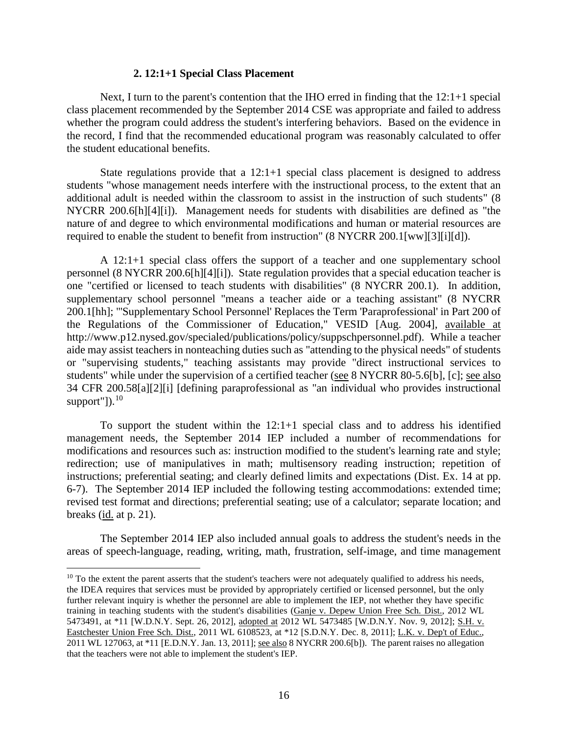#### **2. 12:1+1 Special Class Placement**

Next, I turn to the parent's contention that the IHO erred in finding that the 12:1+1 special class placement recommended by the September 2014 CSE was appropriate and failed to address whether the program could address the student's interfering behaviors. Based on the evidence in the record, I find that the recommended educational program was reasonably calculated to offer the student educational benefits.

State regulations provide that a 12:1+1 special class placement is designed to address students "whose management needs interfere with the instructional process, to the extent that an additional adult is needed within the classroom to assist in the instruction of such students" (8 NYCRR 200.6[h][4][i]). Management needs for students with disabilities are defined as "the nature of and degree to which environmental modifications and human or material resources are required to enable the student to benefit from instruction" (8 NYCRR 200.1[ww][3][i][d]).

A 12:1+1 special class offers the support of a teacher and one supplementary school personnel (8 NYCRR 200.6[h][4][i]). State regulation provides that a special education teacher is one "certified or licensed to teach students with disabilities" (8 NYCRR 200.1). In addition, supplementary school personnel "means a teacher aide or a teaching assistant" (8 NYCRR 200.1[hh]; "'Supplementary School Personnel' Replaces the Term 'Paraprofessional' in Part 200 of the Regulations of the Commissioner of Education," VESID [Aug. 2004], available at http://www.p12.nysed.gov/specialed/publications/policy/suppschpersonnel.pdf). While a teacher aide may assist teachers in nonteaching duties such as "attending to the physical needs" of students or "supervising students," teaching assistants may provide "direct instructional services to students" while under the supervision of a certified teacher (see 8 NYCRR 80-5.6[b], [c]; see also 34 CFR 200.58[a][2][i] [defining paraprofessional as "an individual who provides instructional support"]). $^{10}$ 

To support the student within the 12:1+1 special class and to address his identified management needs, the September 2014 IEP included a number of recommendations for modifications and resources such as: instruction modified to the student's learning rate and style; redirection; use of manipulatives in math; multisensory reading instruction; repetition of instructions; preferential seating; and clearly defined limits and expectations (Dist. Ex. 14 at pp. 6-7). The September 2014 IEP included the following testing accommodations: extended time; revised test format and directions; preferential seating; use of a calculator; separate location; and breaks  $(id. at p. 21)$ .

The September 2014 IEP also included annual goals to address the student's needs in the areas of speech-language, reading, writing, math, frustration, self-image, and time management

<sup>&</sup>lt;sup>10</sup> To the extent the parent asserts that the student's teachers were not adequately qualified to address his needs, the IDEA requires that services must be provided by appropriately certified or licensed personnel, but the only further relevant inquiry is whether the personnel are able to implement the IEP, not whether they have specific training in teaching students with the student's disabilities (Ganje v. Depew Union Free Sch. Dist., 2012 WL 5473491, at \*11 [W.D.N.Y. Sept. 26, 2012], adopted at 2012 WL 5473485 [W.D.N.Y. Nov. 9, 2012]; S.H. v. Eastchester Union Free Sch. Dist., 2011 WL 6108523, at \*12 [S.D.N.Y. Dec. 8, 2011]; L.K. v. Dep't of Educ., 2011 WL 127063, at \*11 [E.D.N.Y. Jan. 13, 2011]; see also 8 NYCRR 200.6[b]). The parent raises no allegation that the teachers were not able to implement the student's IEP.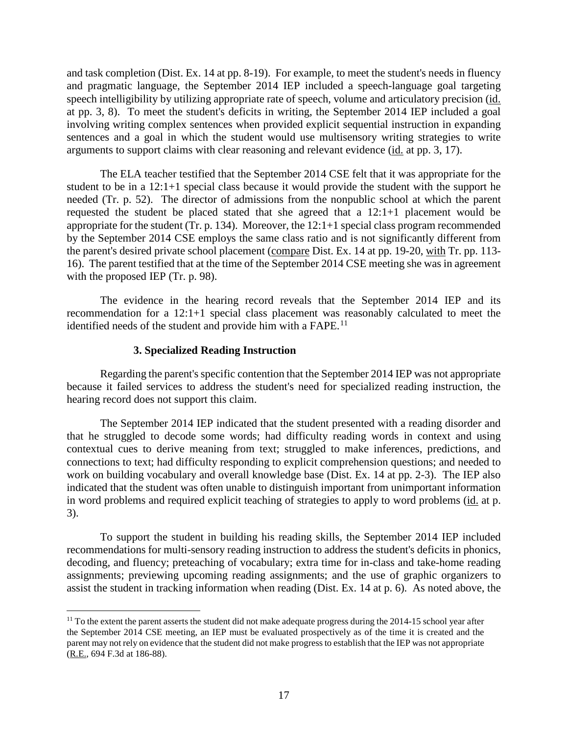and task completion (Dist. Ex. 14 at pp. 8-19). For example, to meet the student's needs in fluency and pragmatic language, the September 2014 IEP included a speech-language goal targeting speech intelligibility by utilizing appropriate rate of speech, volume and articulatory precision (id. at pp. 3, 8). To meet the student's deficits in writing, the September 2014 IEP included a goal involving writing complex sentences when provided explicit sequential instruction in expanding sentences and a goal in which the student would use multisensory writing strategies to write arguments to support claims with clear reasoning and relevant evidence (id. at pp. 3, 17).

The ELA teacher testified that the September 2014 CSE felt that it was appropriate for the student to be in a 12:1+1 special class because it would provide the student with the support he needed (Tr. p. 52). The director of admissions from the nonpublic school at which the parent requested the student be placed stated that she agreed that a 12:1+1 placement would be appropriate for the student (Tr. p. 134). Moreover, the 12:1+1 special class program recommended by the September 2014 CSE employs the same class ratio and is not significantly different from the parent's desired private school placement (compare Dist. Ex. 14 at pp. 19-20, with Tr. pp. 113- 16). The parent testified that at the time of the September 2014 CSE meeting she was in agreement with the proposed IEP (Tr. p. 98).

The evidence in the hearing record reveals that the September 2014 IEP and its recommendation for a 12:1+1 special class placement was reasonably calculated to meet the identified needs of the student and provide him with a FAPE.<sup>11</sup>

## **3. Specialized Reading Instruction**

Regarding the parent's specific contention that the September 2014 IEP was not appropriate because it failed services to address the student's need for specialized reading instruction, the hearing record does not support this claim.

The September 2014 IEP indicated that the student presented with a reading disorder and that he struggled to decode some words; had difficulty reading words in context and using contextual cues to derive meaning from text; struggled to make inferences, predictions, and connections to text; had difficulty responding to explicit comprehension questions; and needed to work on building vocabulary and overall knowledge base (Dist. Ex. 14 at pp. 2-3). The IEP also indicated that the student was often unable to distinguish important from unimportant information in word problems and required explicit teaching of strategies to apply to word problems (id. at p. 3).

To support the student in building his reading skills, the September 2014 IEP included recommendations for multi-sensory reading instruction to address the student's deficits in phonics, decoding, and fluency; preteaching of vocabulary; extra time for in-class and take-home reading assignments; previewing upcoming reading assignments; and the use of graphic organizers to assist the student in tracking information when reading (Dist. Ex. 14 at p. 6). As noted above, the

 $11$  To the extent the parent asserts the student did not make adequate progress during the 2014-15 school year after the September 2014 CSE meeting, an IEP must be evaluated prospectively as of the time it is created and the parent may not rely on evidence that the student did not make progress to establish that the IEP was not appropriate (R.E., 694 F.3d at 186-88).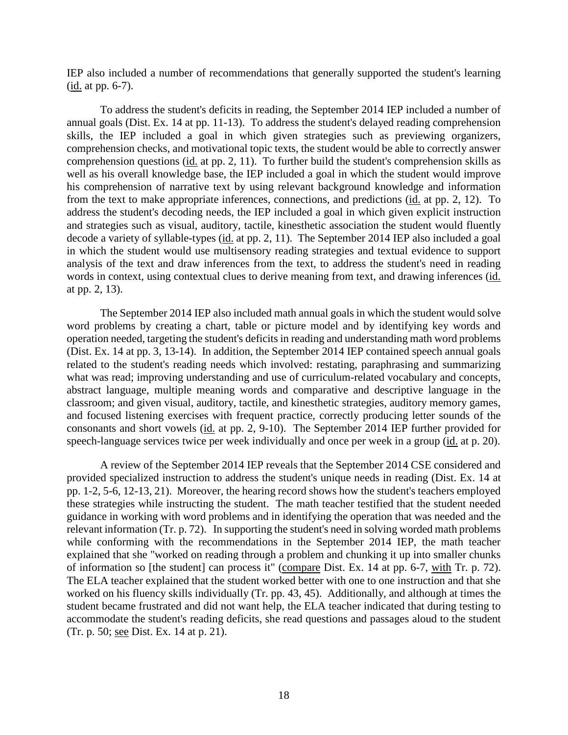IEP also included a number of recommendations that generally supported the student's learning  $(id at pp. 6-7).$ 

To address the student's deficits in reading, the September 2014 IEP included a number of annual goals (Dist. Ex. 14 at pp. 11-13). To address the student's delayed reading comprehension skills, the IEP included a goal in which given strategies such as previewing organizers, comprehension checks, and motivational topic texts, the student would be able to correctly answer comprehension questions (id. at pp. 2, 11). To further build the student's comprehension skills as well as his overall knowledge base, the IEP included a goal in which the student would improve his comprehension of narrative text by using relevant background knowledge and information from the text to make appropriate inferences, connections, and predictions (id. at pp. 2, 12). To address the student's decoding needs, the IEP included a goal in which given explicit instruction and strategies such as visual, auditory, tactile, kinesthetic association the student would fluently decode a variety of syllable-types (id. at pp. 2, 11). The September 2014 IEP also included a goal in which the student would use multisensory reading strategies and textual evidence to support analysis of the text and draw inferences from the text, to address the student's need in reading words in context, using contextual clues to derive meaning from text, and drawing inferences (id. at pp. 2, 13).

The September 2014 IEP also included math annual goals in which the student would solve word problems by creating a chart, table or picture model and by identifying key words and operation needed, targeting the student's deficits in reading and understanding math word problems (Dist. Ex. 14 at pp. 3, 13-14). In addition, the September 2014 IEP contained speech annual goals related to the student's reading needs which involved: restating, paraphrasing and summarizing what was read; improving understanding and use of curriculum-related vocabulary and concepts, abstract language, multiple meaning words and comparative and descriptive language in the classroom; and given visual, auditory, tactile, and kinesthetic strategies, auditory memory games, and focused listening exercises with frequent practice, correctly producing letter sounds of the consonants and short vowels (id. at pp. 2, 9-10). The September 2014 IEP further provided for speech-language services twice per week individually and once per week in a group (id. at p. 20).

A review of the September 2014 IEP reveals that the September 2014 CSE considered and provided specialized instruction to address the student's unique needs in reading (Dist. Ex. 14 at pp. 1-2, 5-6, 12-13, 21). Moreover, the hearing record shows how the student's teachers employed these strategies while instructing the student. The math teacher testified that the student needed guidance in working with word problems and in identifying the operation that was needed and the relevant information (Tr. p. 72). In supporting the student's need in solving worded math problems while conforming with the recommendations in the September 2014 IEP, the math teacher explained that she "worked on reading through a problem and chunking it up into smaller chunks of information so [the student] can process it" (compare Dist. Ex. 14 at pp. 6-7, with Tr. p. 72). The ELA teacher explained that the student worked better with one to one instruction and that she worked on his fluency skills individually (Tr. pp. 43, 45). Additionally, and although at times the student became frustrated and did not want help, the ELA teacher indicated that during testing to accommodate the student's reading deficits, she read questions and passages aloud to the student (Tr. p. 50; see Dist. Ex. 14 at p. 21).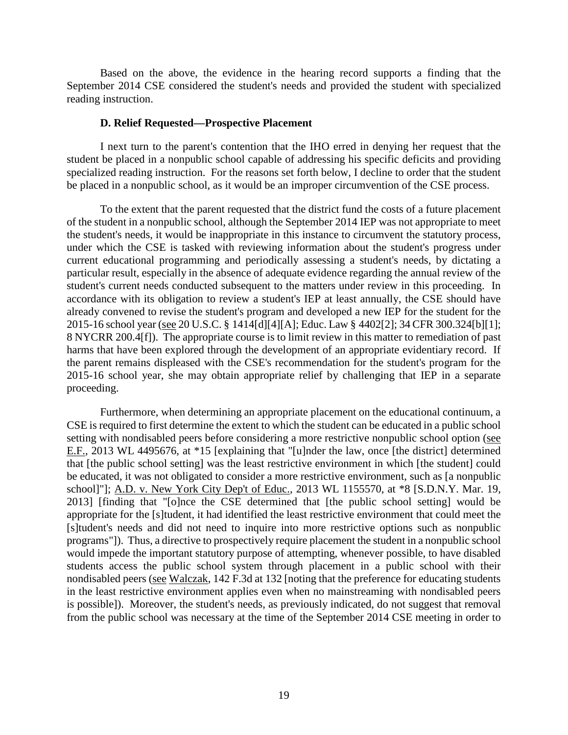Based on the above, the evidence in the hearing record supports a finding that the September 2014 CSE considered the student's needs and provided the student with specialized reading instruction.

#### **D. Relief Requested—Prospective Placement**

I next turn to the parent's contention that the IHO erred in denying her request that the student be placed in a nonpublic school capable of addressing his specific deficits and providing specialized reading instruction. For the reasons set forth below, I decline to order that the student be placed in a nonpublic school, as it would be an improper circumvention of the CSE process.

To the extent that the parent requested that the district fund the costs of a future placement of the student in a nonpublic school, although the September 2014 IEP was not appropriate to meet the student's needs, it would be inappropriate in this instance to circumvent the statutory process, under which the CSE is tasked with reviewing information about the student's progress under current educational programming and periodically assessing a student's needs, by dictating a particular result, especially in the absence of adequate evidence regarding the annual review of the student's current needs conducted subsequent to the matters under review in this proceeding. In accordance with its obligation to review a student's IEP at least annually, the CSE should have already convened to revise the student's program and developed a new IEP for the student for the 2015-16 school year (see 20 U.S.C. § 1414[d][4][A]; Educ. Law § 4402[2]; 34 CFR 300.324[b][1]; 8 NYCRR 200.4[f]). The appropriate course is to limit review in this matter to remediation of past harms that have been explored through the development of an appropriate evidentiary record. If the parent remains displeased with the CSE's recommendation for the student's program for the 2015-16 school year, she may obtain appropriate relief by challenging that IEP in a separate proceeding.

Furthermore, when determining an appropriate placement on the educational continuum, a CSE is required to first determine the extent to which the student can be educated in a public school setting with nondisabled peers before considering a more restrictive nonpublic school option (see E.F., 2013 WL 4495676, at \*15 [explaining that "[u]nder the law, once [the district] determined that [the public school setting] was the least restrictive environment in which [the student] could be educated, it was not obligated to consider a more restrictive environment, such as [a nonpublic] school]"]; A.D. v. New York City Dep't of Educ., 2013 WL 1155570, at \*8 [S.D.N.Y. Mar. 19, 2013] [finding that "[o]nce the CSE determined that [the public school setting] would be appropriate for the [s]tudent, it had identified the least restrictive environment that could meet the [s]tudent's needs and did not need to inquire into more restrictive options such as nonpublic programs"]). Thus, a directive to prospectively require placement the student in a nonpublic school would impede the important statutory purpose of attempting, whenever possible, to have disabled students access the public school system through placement in a public school with their nondisabled peers (see Walczak, 142 F.3d at 132 [noting that the preference for educating students in the least restrictive environment applies even when no mainstreaming with nondisabled peers is possible]). Moreover, the student's needs, as previously indicated, do not suggest that removal from the public school was necessary at the time of the September 2014 CSE meeting in order to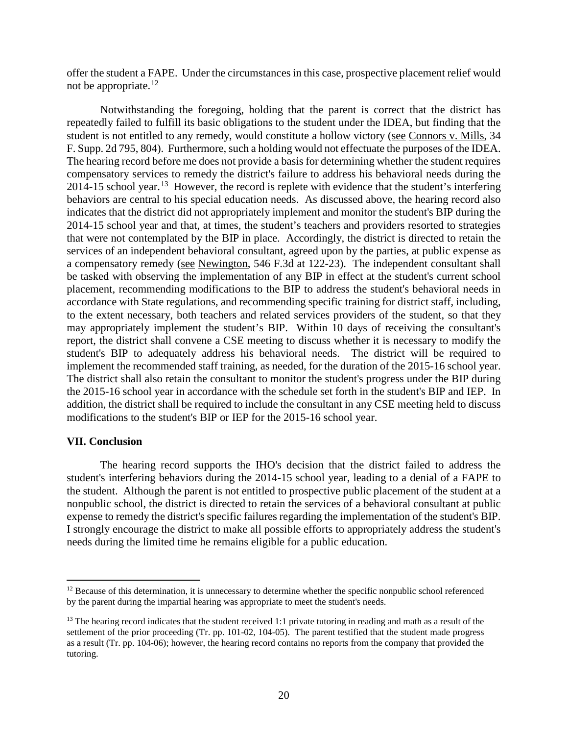offer the student a FAPE. Under the circumstances in this case, prospective placement relief would not be appropriate.<sup>12</sup>

Notwithstanding the foregoing, holding that the parent is correct that the district has repeatedly failed to fulfill its basic obligations to the student under the IDEA, but finding that the student is not entitled to any remedy, would constitute a hollow victory (see Connors v. Mills, 34 F. Supp. 2d 795, 804). Furthermore, such a holding would not effectuate the purposes of the IDEA. The hearing record before me does not provide a basis for determining whether the student requires compensatory services to remedy the district's failure to address his behavioral needs during the 2014-15 school year.<sup>13</sup> However, the record is replete with evidence that the student's interfering behaviors are central to his special education needs. As discussed above, the hearing record also indicates that the district did not appropriately implement and monitor the student's BIP during the 2014-15 school year and that, at times, the student's teachers and providers resorted to strategies that were not contemplated by the BIP in place. Accordingly, the district is directed to retain the services of an independent behavioral consultant, agreed upon by the parties, at public expense as a compensatory remedy (see Newington, 546 F.3d at 122-23). The independent consultant shall be tasked with observing the implementation of any BIP in effect at the student's current school placement, recommending modifications to the BIP to address the student's behavioral needs in accordance with State regulations, and recommending specific training for district staff, including, to the extent necessary, both teachers and related services providers of the student, so that they may appropriately implement the student's BIP. Within 10 days of receiving the consultant's report, the district shall convene a CSE meeting to discuss whether it is necessary to modify the student's BIP to adequately address his behavioral needs. The district will be required to implement the recommended staff training, as needed, for the duration of the 2015-16 school year. The district shall also retain the consultant to monitor the student's progress under the BIP during the 2015-16 school year in accordance with the schedule set forth in the student's BIP and IEP. In addition, the district shall be required to include the consultant in any CSE meeting held to discuss modifications to the student's BIP or IEP for the 2015-16 school year.

#### **VII. Conclusion**

The hearing record supports the IHO's decision that the district failed to address the student's interfering behaviors during the 2014-15 school year, leading to a denial of a FAPE to the student. Although the parent is not entitled to prospective public placement of the student at a nonpublic school, the district is directed to retain the services of a behavioral consultant at public expense to remedy the district's specific failures regarding the implementation of the student's BIP. I strongly encourage the district to make all possible efforts to appropriately address the student's needs during the limited time he remains eligible for a public education.

 $12$  Because of this determination, it is unnecessary to determine whether the specific nonpublic school referenced by the parent during the impartial hearing was appropriate to meet the student's needs.

 $13$  The hearing record indicates that the student received 1:1 private tutoring in reading and math as a result of the settlement of the prior proceeding (Tr. pp. 101-02, 104-05). The parent testified that the student made progress as a result (Tr. pp. 104-06); however, the hearing record contains no reports from the company that provided the tutoring.